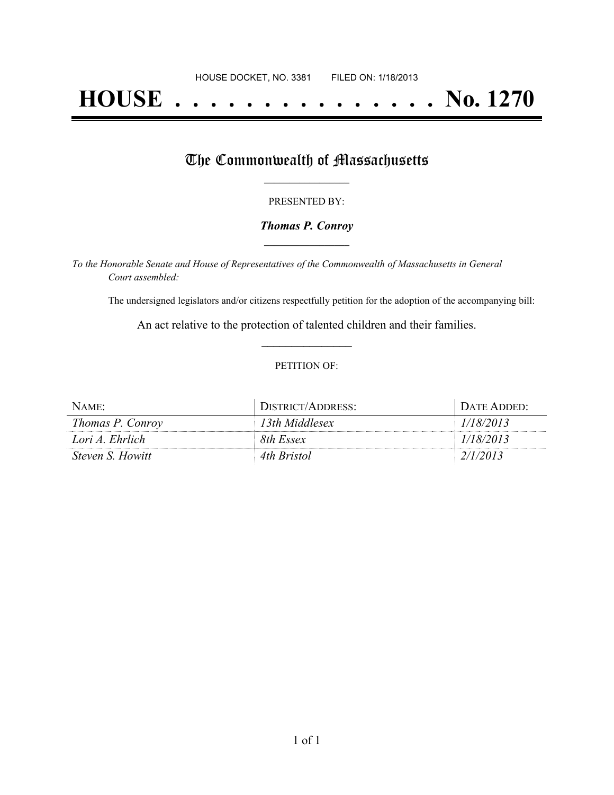# **HOUSE . . . . . . . . . . . . . . . No. 1270**

## The Commonwealth of Massachusetts

#### PRESENTED BY:

#### *Thomas P. Conroy* **\_\_\_\_\_\_\_\_\_\_\_\_\_\_\_\_\_**

*To the Honorable Senate and House of Representatives of the Commonwealth of Massachusetts in General Court assembled:*

The undersigned legislators and/or citizens respectfully petition for the adoption of the accompanying bill:

An act relative to the protection of talented children and their families. **\_\_\_\_\_\_\_\_\_\_\_\_\_\_\_**

#### PETITION OF:

| NAME:                   | DISTRICT/ADDRESS: | DATE ADDED: |
|-------------------------|-------------------|-------------|
| Thomas P. Conroy        | 13th Middlesex    | 1/18/2013   |
| Lori A. Ehrlich         | 8th Essex         | 1/18/2013   |
| <i>Steven S. Howitt</i> | 4th Bristol       | 2/1/2013    |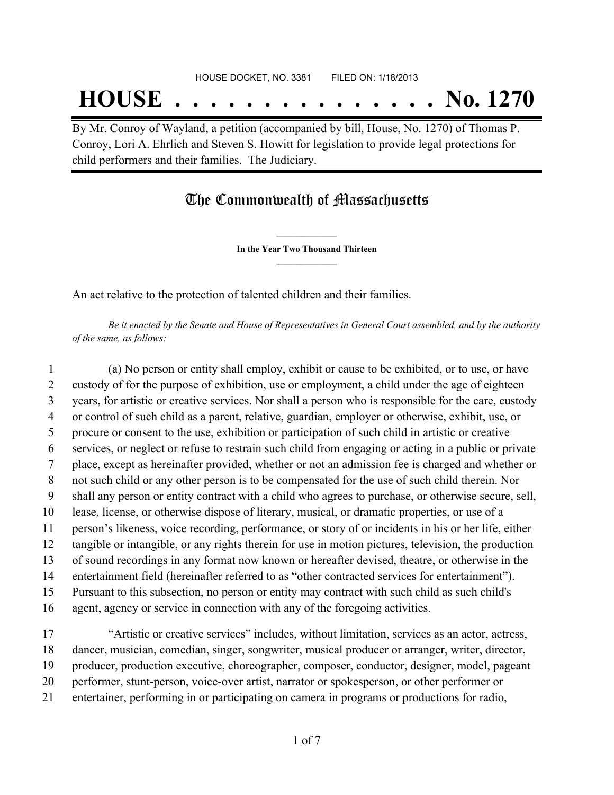## **HOUSE . . . . . . . . . . . . . . . No. 1270**

By Mr. Conroy of Wayland, a petition (accompanied by bill, House, No. 1270) of Thomas P. Conroy, Lori A. Ehrlich and Steven S. Howitt for legislation to provide legal protections for child performers and their families. The Judiciary.

### The Commonwealth of Massachusetts

**\_\_\_\_\_\_\_\_\_\_\_\_\_\_\_ In the Year Two Thousand Thirteen \_\_\_\_\_\_\_\_\_\_\_\_\_\_\_**

An act relative to the protection of talented children and their families.

Be it enacted by the Senate and House of Representatives in General Court assembled, and by the authority *of the same, as follows:*

 (a) No person or entity shall employ, exhibit or cause to be exhibited, or to use, or have custody of for the purpose of exhibition, use or employment, a child under the age of eighteen years, for artistic or creative services. Nor shall a person who is responsible for the care, custody or control of such child as a parent, relative, guardian, employer or otherwise, exhibit, use, or procure or consent to the use, exhibition or participation of such child in artistic or creative services, or neglect or refuse to restrain such child from engaging or acting in a public or private place, except as hereinafter provided, whether or not an admission fee is charged and whether or not such child or any other person is to be compensated for the use of such child therein. Nor shall any person or entity contract with a child who agrees to purchase, or otherwise secure, sell, lease, license, or otherwise dispose of literary, musical, or dramatic properties, or use of a person's likeness, voice recording, performance, or story of or incidents in his or her life, either tangible or intangible, or any rights therein for use in motion pictures, television, the production of sound recordings in any format now known or hereafter devised, theatre, or otherwise in the entertainment field (hereinafter referred to as "other contracted services for entertainment"). Pursuant to this subsection, no person or entity may contract with such child as such child's agent, agency or service in connection with any of the foregoing activities.

 "Artistic or creative services" includes, without limitation, services as an actor, actress, dancer, musician, comedian, singer, songwriter, musical producer or arranger, writer, director, producer, production executive, choreographer, composer, conductor, designer, model, pageant performer, stunt-person, voice-over artist, narrator or spokesperson, or other performer or entertainer, performing in or participating on camera in programs or productions for radio,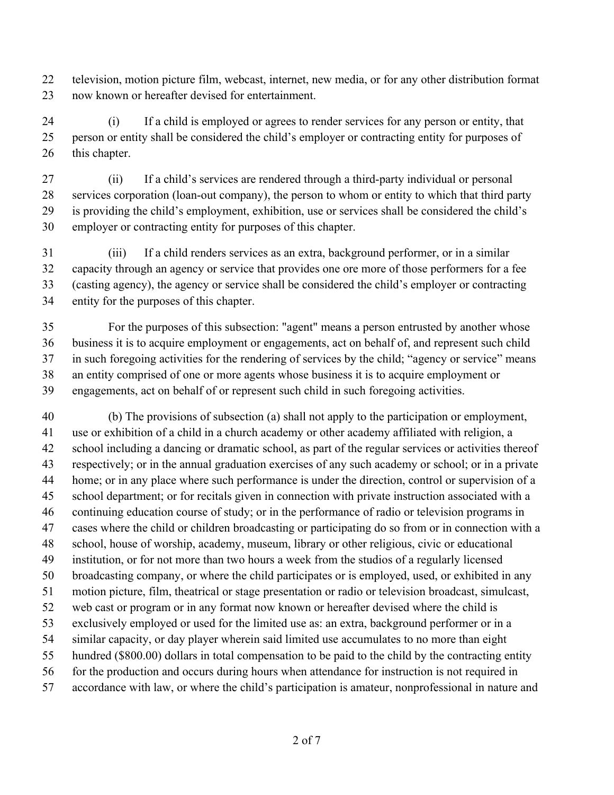television, motion picture film, webcast, internet, new media, or for any other distribution format now known or hereafter devised for entertainment.

 (i) If a child is employed or agrees to render services for any person or entity, that person or entity shall be considered the child's employer or contracting entity for purposes of 26 this chapter.

 (ii) If a child's services are rendered through a third-party individual or personal services corporation (loan-out company), the person to whom or entity to which that third party is providing the child's employment, exhibition, use or services shall be considered the child's employer or contracting entity for purposes of this chapter.

 (iii) If a child renders services as an extra, background performer, or in a similar capacity through an agency or service that provides one ore more of those performers for a fee (casting agency), the agency or service shall be considered the child's employer or contracting entity for the purposes of this chapter.

 For the purposes of this subsection: "agent" means a person entrusted by another whose business it is to acquire employment or engagements, act on behalf of, and represent such child in such foregoing activities for the rendering of services by the child; "agency or service" means an entity comprised of one or more agents whose business it is to acquire employment or engagements, act on behalf of or represent such child in such foregoing activities.

 (b) The provisions of subsection (a) shall not apply to the participation or employment, use or exhibition of a child in a church academy or other academy affiliated with religion, a school including a dancing or dramatic school, as part of the regular services or activities thereof respectively; or in the annual graduation exercises of any such academy or school; or in a private home; or in any place where such performance is under the direction, control or supervision of a school department; or for recitals given in connection with private instruction associated with a continuing education course of study; or in the performance of radio or television programs in cases where the child or children broadcasting or participating do so from or in connection with a school, house of worship, academy, museum, library or other religious, civic or educational institution, or for not more than two hours a week from the studios of a regularly licensed broadcasting company, or where the child participates or is employed, used, or exhibited in any motion picture, film, theatrical or stage presentation or radio or television broadcast, simulcast, web cast or program or in any format now known or hereafter devised where the child is exclusively employed or used for the limited use as: an extra, background performer or in a similar capacity, or day player wherein said limited use accumulates to no more than eight hundred (\$800.00) dollars in total compensation to be paid to the child by the contracting entity 56 for the production and occurs during hours when attendance for instruction is not required in accordance with law, or where the child's participation is amateur, nonprofessional in nature and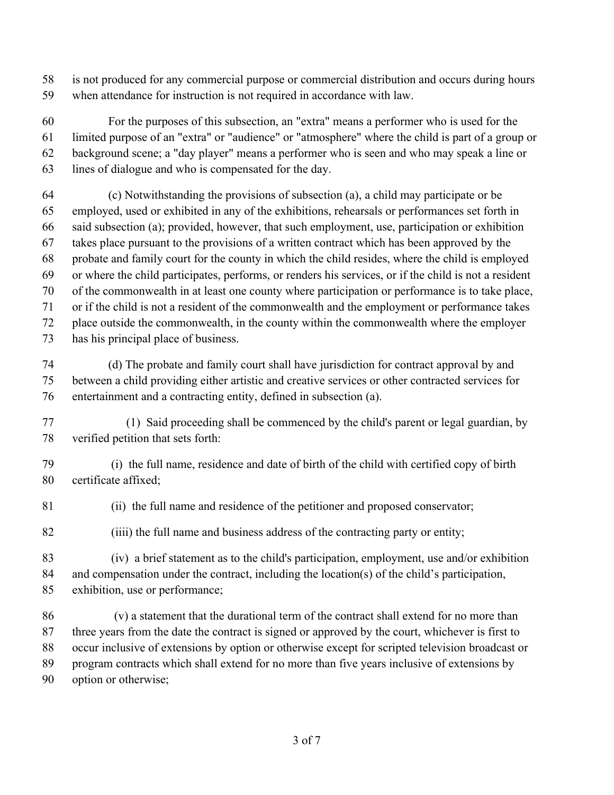- is not produced for any commercial purpose or commercial distribution and occurs during hours
- when attendance for instruction is not required in accordance with law.

 For the purposes of this subsection, an "extra" means a performer who is used for the limited purpose of an "extra" or "audience" or "atmosphere" where the child is part of a group or background scene; a "day player" means a performer who is seen and who may speak a line or lines of dialogue and who is compensated for the day.

- (c) Notwithstanding the provisions of subsection (a), a child may participate or be employed, used or exhibited in any of the exhibitions, rehearsals or performances set forth in said subsection (a); provided, however, that such employment, use, participation or exhibition takes place pursuant to the provisions of a written contract which has been approved by the probate and family court for the county in which the child resides, where the child is employed or where the child participates, performs, or renders his services, or if the child is not a resident of the commonwealth in at least one county where participation or performance is to take place, or if the child is not a resident of the commonwealth and the employment or performance takes place outside the commonwealth, in the county within the commonwealth where the employer has his principal place of business.
- (d) The probate and family court shall have jurisdiction for contract approval by and between a child providing either artistic and creative services or other contracted services for entertainment and a contracting entity, defined in subsection (a).
- 77 (1) Said proceeding shall be commenced by the child's parent or legal guardian, by verified petition that sets forth:
- (i) the full name, residence and date of birth of the child with certified copy of birth certificate affixed;
- (ii) the full name and residence of the petitioner and proposed conservator;
- (iiii) the full name and business address of the contracting party or entity;
- (iv) a brief statement as to the child's participation, employment, use and/or exhibition and compensation under the contract, including the location(s) of the child's participation, exhibition, use or performance;
- 86 (v) a statement that the durational term of the contract shall extend for no more than three years from the date the contract is signed or approved by the court, whichever is first to occur inclusive of extensions by option or otherwise except for scripted television broadcast or program contracts which shall extend for no more than five years inclusive of extensions by option or otherwise;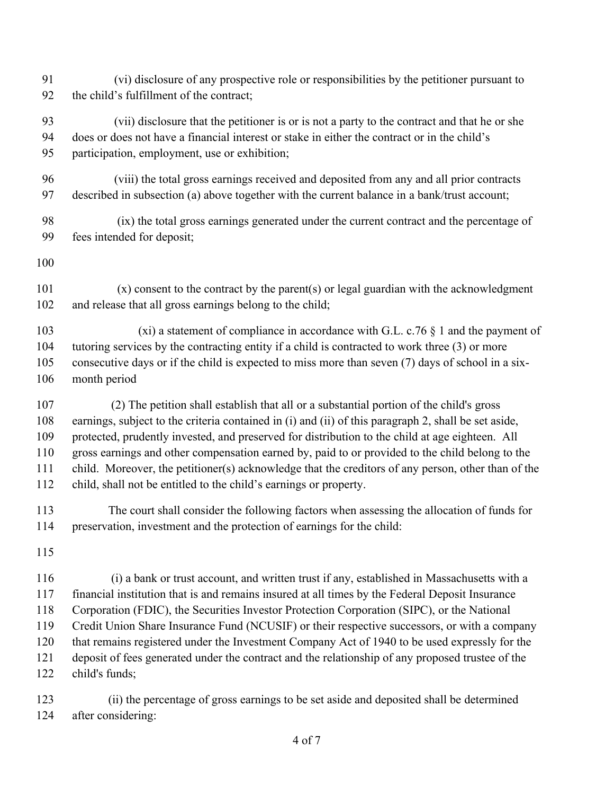- 91 (vi) disclosure of any prospective role or responsibilities by the petitioner pursuant to the child's fulfillment of the contract;
- 93 (vii) disclosure that the petitioner is or is not a party to the contract and that he or she does or does not have a financial interest or stake in either the contract or in the child's participation, employment, use or exhibition;
- 96 (viii) the total gross earnings received and deposited from any and all prior contracts described in subsection (a) above together with the current balance in a bank/trust account;
- 98 (ix) the total gross earnings generated under the current contract and the percentage of fees intended for deposit;
- 

101 (x) consent to the contract by the parent(s) or legal guardian with the acknowledgment and release that all gross earnings belong to the child;

103 (xi) a statement of compliance in accordance with G.L. c.76 § 1 and the payment of tutoring services by the contracting entity if a child is contracted to work three (3) or more consecutive days or if the child is expected to miss more than seven (7) days of school in a six-month period

 (2) The petition shall establish that all or a substantial portion of the child's gross earnings, subject to the criteria contained in (i) and (ii) of this paragraph 2, shall be set aside, protected, prudently invested, and preserved for distribution to the child at age eighteen. All gross earnings and other compensation earned by, paid to or provided to the child belong to the child. Moreover, the petitioner(s) acknowledge that the creditors of any person, other than of the child, shall not be entitled to the child's earnings or property.

 The court shall consider the following factors when assessing the allocation of funds for preservation, investment and the protection of earnings for the child:

 (i) a bank or trust account, and written trust if any, established in Massachusetts with a financial institution that is and remains insured at all times by the Federal Deposit Insurance Corporation (FDIC), the Securities Investor Protection Corporation (SIPC), or the National Credit Union Share Insurance Fund (NCUSIF) or their respective successors, or with a company that remains registered under the Investment Company Act of 1940 to be used expressly for the deposit of fees generated under the contract and the relationship of any proposed trustee of the child's funds;

 (ii) the percentage of gross earnings to be set aside and deposited shall be determined after considering: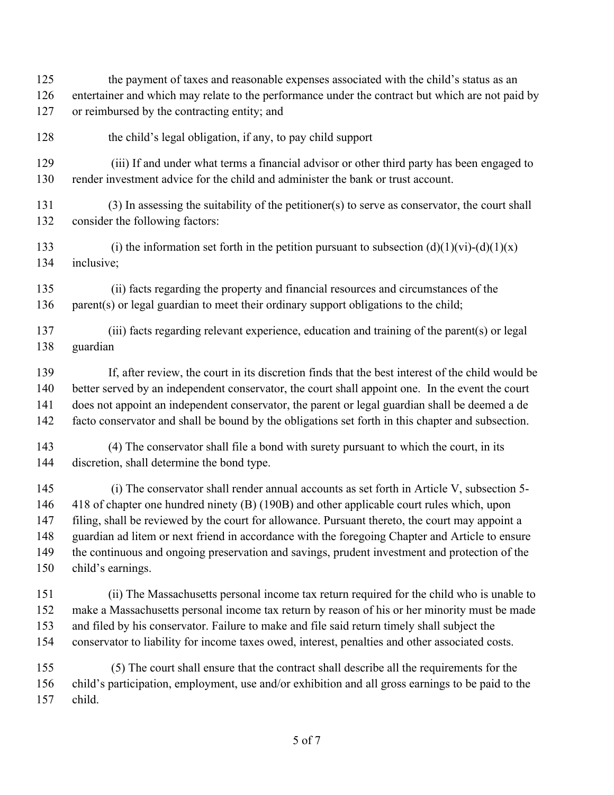the payment of taxes and reasonable expenses associated with the child's status as an entertainer and which may relate to the performance under the contract but which are not paid by or reimbursed by the contracting entity; and

the child's legal obligation, if any, to pay child support

 (iii) If and under what terms a financial advisor or other third party has been engaged to render investment advice for the child and administer the bank or trust account.

 (3) In assessing the suitability of the petitioner(s) to serve as conservator, the court shall consider the following factors:

133 (i) the information set forth in the petition pursuant to subsection  $(d)(1)(vi)-(d)(1)(x)$ inclusive;

 (ii) facts regarding the property and financial resources and circumstances of the 136 parent(s) or legal guardian to meet their ordinary support obligations to the child;

 (iii) facts regarding relevant experience, education and training of the parent(s) or legal guardian

 If, after review, the court in its discretion finds that the best interest of the child would be better served by an independent conservator, the court shall appoint one. In the event the court does not appoint an independent conservator, the parent or legal guardian shall be deemed a de facto conservator and shall be bound by the obligations set forth in this chapter and subsection.

 (4) The conservator shall file a bond with surety pursuant to which the court, in its discretion, shall determine the bond type.

 (i) The conservator shall render annual accounts as set forth in Article V, subsection 5- 418 of chapter one hundred ninety (B) (190B) and other applicable court rules which, upon filing, shall be reviewed by the court for allowance. Pursuant thereto, the court may appoint a guardian ad litem or next friend in accordance with the foregoing Chapter and Article to ensure the continuous and ongoing preservation and savings, prudent investment and protection of the child's earnings.

 (ii) The Massachusetts personal income tax return required for the child who is unable to make a Massachusetts personal income tax return by reason of his or her minority must be made and filed by his conservator. Failure to make and file said return timely shall subject the conservator to liability for income taxes owed, interest, penalties and other associated costs.

 (5) The court shall ensure that the contract shall describe all the requirements for the child's participation, employment, use and/or exhibition and all gross earnings to be paid to the child.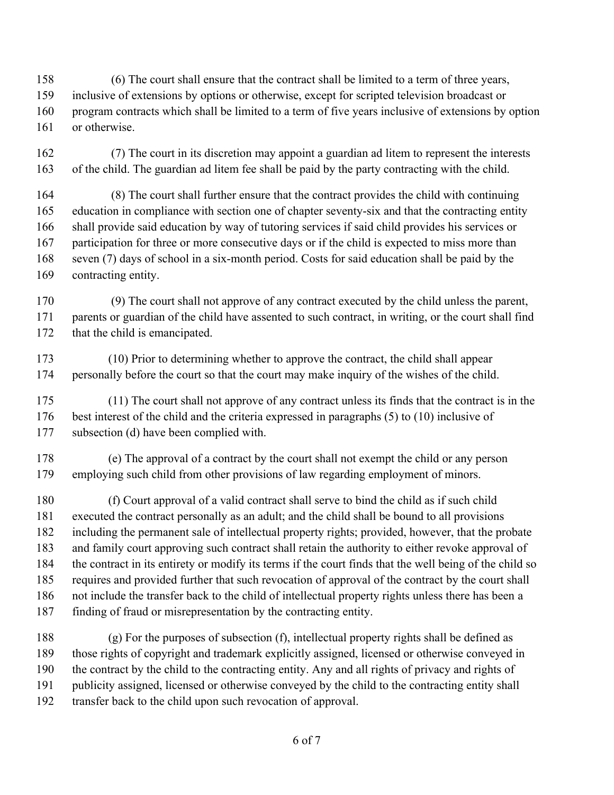(6) The court shall ensure that the contract shall be limited to a term of three years,

 inclusive of extensions by options or otherwise, except for scripted television broadcast or program contracts which shall be limited to a term of five years inclusive of extensions by option

or otherwise.

 (7) The court in its discretion may appoint a guardian ad litem to represent the interests of the child. The guardian ad litem fee shall be paid by the party contracting with the child.

 (8) The court shall further ensure that the contract provides the child with continuing education in compliance with section one of chapter seventy-six and that the contracting entity shall provide said education by way of tutoring services if said child provides his services or participation for three or more consecutive days or if the child is expected to miss more than seven (7) days of school in a six-month period. Costs for said education shall be paid by the contracting entity.

 (9) The court shall not approve of any contract executed by the child unless the parent, 171 parents or guardian of the child have assented to such contract, in writing, or the court shall find 172 that the child is emancipated.

 (10) Prior to determining whether to approve the contract, the child shall appear personally before the court so that the court may make inquiry of the wishes of the child.

 (11) The court shall not approve of any contract unless its finds that the contract is in the best interest of the child and the criteria expressed in paragraphs (5) to (10) inclusive of subsection (d) have been complied with.

 (e) The approval of a contract by the court shall not exempt the child or any person employing such child from other provisions of law regarding employment of minors.

 (f) Court approval of a valid contract shall serve to bind the child as if such child executed the contract personally as an adult; and the child shall be bound to all provisions including the permanent sale of intellectual property rights; provided, however, that the probate and family court approving such contract shall retain the authority to either revoke approval of the contract in its entirety or modify its terms if the court finds that the well being of the child so requires and provided further that such revocation of approval of the contract by the court shall not include the transfer back to the child of intellectual property rights unless there has been a finding of fraud or misrepresentation by the contracting entity.

 (g) For the purposes of subsection (f), intellectual property rights shall be defined as those rights of copyright and trademark explicitly assigned, licensed or otherwise conveyed in the contract by the child to the contracting entity. Any and all rights of privacy and rights of publicity assigned, licensed or otherwise conveyed by the child to the contracting entity shall transfer back to the child upon such revocation of approval.